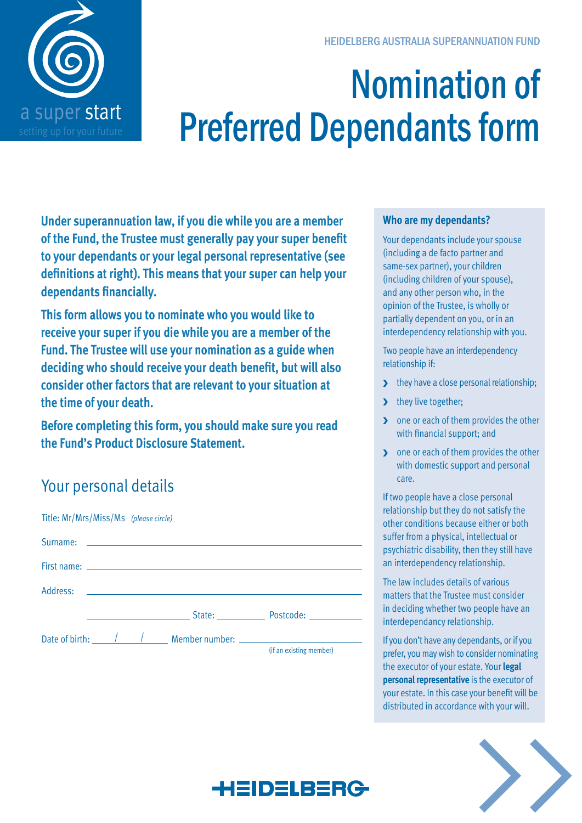

# Nomination of Preferred Dependants form

**Under superannuation law, if you die while you are a member of the Fund, the Trustee must generally pay your super benefit to your dependants or your legal personal representative (see definitions at right). This means that your super can help your dependants financially.**

**This form allows you to nominate who you would like to receive your super if you die while you are a member of the Fund. The Trustee will use your nomination as a guide when deciding who should receive your death benefit, but will also consider other factors that are relevant to your situation at the time of your death.** 

**Before completing this form, you should make sure you read the Fund's Product Disclosure Statement.**

# Your personal details

| Title: Mr/Mrs/Miss/Ms (please circle) |  |                                                                      |                                                                                                                                                                                                                                |
|---------------------------------------|--|----------------------------------------------------------------------|--------------------------------------------------------------------------------------------------------------------------------------------------------------------------------------------------------------------------------|
|                                       |  |                                                                      |                                                                                                                                                                                                                                |
|                                       |  |                                                                      |                                                                                                                                                                                                                                |
|                                       |  |                                                                      |                                                                                                                                                                                                                                |
|                                       |  |                                                                      | State: Postcode: 2008. [19] Postcode: 2008. [19] Postcode: 2008. [19] Postcode: 2008. [19] Postcode: 2008. [19] Postcode: 2008. [19] Postcode: 2008. [19] Postcode: 2008. [19] Postcode: 2008. [19] Postcode: 2008. [19] Postc |
|                                       |  | Date of birth: <u>2005 / 2006</u> Member number: 2006 2016 2017 2018 |                                                                                                                                                                                                                                |
|                                       |  |                                                                      | (if an existing member)                                                                                                                                                                                                        |

### **Who are my dependants?**

Your dependants include your spouse (including a de facto partner and same-sex partner), your children (including children of your spouse), and any other person who, in the opinion of the Trustee, is wholly or partially dependent on you, or in an interdependency relationship with you.

Two people have an interdependency relationship if:

- they have a close personal relationship;
- > they live together;
- **D** one or each of them provides the other with financial support; and
- **D** one or each of them provides the other with domestic support and personal care.

If two people have a close personal relationship but they do not satisfy the other conditions because either or both suffer from a physical, intellectual or psychiatric disability, then they still have an interdependency relationship.

The law includes details of various matters that the Trustee must consider in deciding whether two people have an interdependancy relationship.

If you don't have any dependants, or if you prefer, you may wish to consider nominating the executor of your estate. Your **legal personal representative** is the executor of your estate. In this case your benefit will be distributed in accordance with your will.